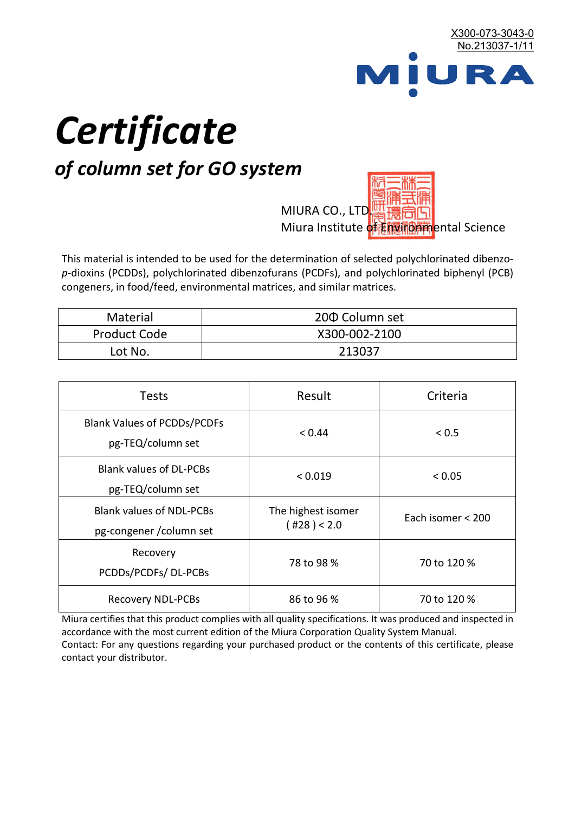

# *Certificate*

## *of column set for GO system*

MIURA CO., LTD. Miura Institute of 正版而解ental Science

This material is intended to be used for the determination of selected polychlorinated dibenzo*p*-dioxins (PCDDs), polychlorinated dibenzofurans (PCDFs), and polychlorinated biphenyl (PCB) congeners, in food/feed, environmental matrices, and similar matrices.

| Material            | 200 Column set |  |
|---------------------|----------------|--|
| <b>Product Code</b> | X300-002-2100  |  |
| Lot No.             | 213037         |  |

| <b>Tests</b>                                                | Result                            | Criteria          |
|-------------------------------------------------------------|-----------------------------------|-------------------|
| <b>Blank Values of PCDDs/PCDFs</b><br>pg-TEQ/column set     | < 0.44                            | < 0.5             |
| <b>Blank values of DL-PCBs</b><br>pg-TEQ/column set         | < 0.019                           | < 0.05            |
| <b>Blank values of NDL-PCBs</b><br>pg-congener / column set | The highest isomer<br>(428) < 2.0 | Each isomer < 200 |
| Recovery<br>PCDDs/PCDFs/DL-PCBs                             | 78 to 98 %                        | 70 to 120 %       |
| <b>Recovery NDL-PCBs</b>                                    | 86 to 96 %                        | 70 to 120 %       |

Miura certifies that this product complies with all quality specifications. It was produced and inspected in accordance with the most current edition of the Miura Corporation Quality System Manual. Contact: For any questions regarding your purchased product or the contents of this certificate, please contact your distributor.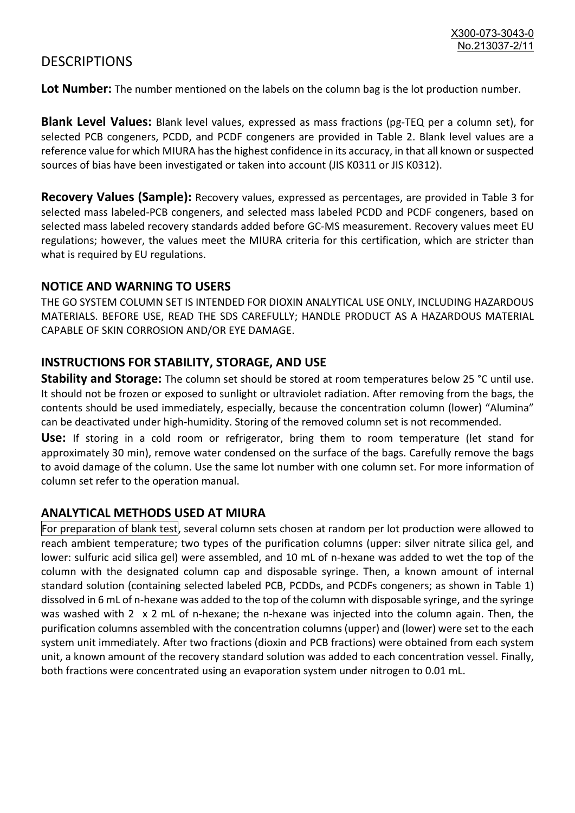### **DESCRIPTIONS**

**Lot Number:** The number mentioned on the labels on the column bag is the lot production number.

**Blank Level Values:** Blank level values, expressed as mass fractions (pg-TEQ per a column set), for selected PCB congeners, PCDD, and PCDF congeners are provided in Table 2. Blank level values are a reference value for which MIURA has the highest confidence in its accuracy, in that all known or suspected sources of bias have been investigated or taken into account (JIS K0311 or JIS K0312).

**Recovery Values (Sample):** Recovery values, expressed as percentages, are provided in Table 3 for selected mass labeled-PCB congeners, and selected mass labeled PCDD and PCDF congeners, based on selected mass labeled recovery standards added before GC-MS measurement. Recovery values meet EU regulations; however, the values meet the MIURA criteria for this certification, which are stricter than what is required by EU regulations.

#### **NOTICE AND WARNING TO USERS**

THE GO SYSTEM COLUMN SET IS INTENDED FOR DIOXIN ANALYTICAL USE ONLY, INCLUDING HAZARDOUS MATERIALS. BEFORE USE, READ THE SDS CAREFULLY; HANDLE PRODUCT AS A HAZARDOUS MATERIAL CAPABLE OF SKIN CORROSION AND/OR EYE DAMAGE.

#### **INSTRUCTIONS FOR STABILITY, STORAGE, AND USE**

**Stability and Storage:** The column set should be stored at room temperatures below 25 °C until use. It should not be frozen or exposed to sunlight or ultraviolet radiation. After removing from the bags, the contents should be used immediately, especially, because the concentration column (lower) "Alumina" can be deactivated under high-humidity. Storing of the removed column set is not recommended.

**Use:** If storing in a cold room or refrigerator, bring them to room temperature (let stand for approximately 30 min), remove water condensed on the surface of the bags. Carefully remove the bags to avoid damage of the column. Use the same lot number with one column set. For more information of column set refer to the operation manual.

#### **ANALYTICAL METHODS USED AT MIURA**

For preparation of blank test, several column sets chosen at random per lot production were allowed to reach ambient temperature; two types of the purification columns (upper: silver nitrate silica gel, and lower: sulfuric acid silica gel) were assembled, and 10 mL of n-hexane was added to wet the top of the column with the designated column cap and disposable syringe. Then, a known amount of internal standard solution (containing selected labeled PCB, PCDDs, and PCDFs congeners; as shown in Table 1) dissolved in 6 mL of n-hexane was added to the top of the column with disposable syringe, and the syringe was washed with 2 x 2 mL of n-hexane; the n-hexane was injected into the column again. Then, the purification columns assembled with the concentration columns (upper) and (lower) were set to the each system unit immediately. After two fractions (dioxin and PCB fractions) were obtained from each system unit, a known amount of the recovery standard solution was added to each concentration vessel. Finally, both fractions were concentrated using an evaporation system under nitrogen to 0.01 mL.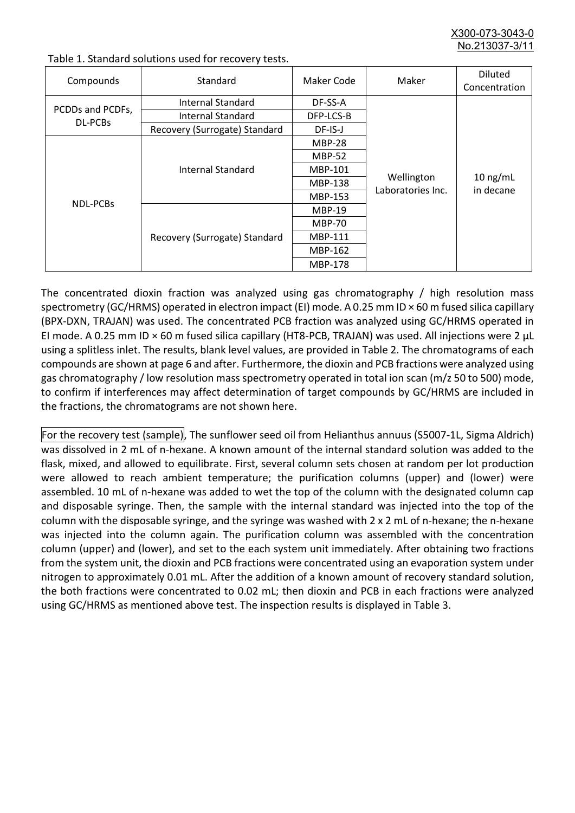X300-073-3043-0 No.213037-3/11

| Compounds                          | Standard                      | Maker Code     | Maker                           | <b>Diluted</b><br>Concentration |
|------------------------------------|-------------------------------|----------------|---------------------------------|---------------------------------|
| PCDDs and PCDFs,<br><b>DL-PCBs</b> | Internal Standard             | DF-SS-A        |                                 |                                 |
|                                    | <b>Internal Standard</b>      | DFP-LCS-B      |                                 |                                 |
|                                    | Recovery (Surrogate) Standard | DF-IS-J        | Wellington<br>Laboratories Inc. | $10$ ng/mL<br>in decane         |
| <b>NDL-PCBs</b>                    | Internal Standard             | <b>MBP-28</b>  |                                 |                                 |
|                                    |                               | <b>MBP-52</b>  |                                 |                                 |
|                                    |                               | MBP-101        |                                 |                                 |
|                                    |                               | <b>MBP-138</b> |                                 |                                 |
|                                    |                               | MBP-153        |                                 |                                 |
|                                    | Recovery (Surrogate) Standard | <b>MBP-19</b>  |                                 |                                 |
|                                    |                               | <b>MBP-70</b>  |                                 |                                 |
|                                    |                               | MBP-111        |                                 |                                 |
|                                    |                               | MBP-162        |                                 |                                 |
|                                    |                               | <b>MBP-178</b> |                                 |                                 |

Table 1. Standard solutions used for recovery tests.

The concentrated dioxin fraction was analyzed using gas chromatography / high resolution mass spectrometry (GC/HRMS) operated in electron impact (EI) mode. A 0.25 mm ID × 60 m fused silica capillary (BPX-DXN, TRAJAN) was used. The concentrated PCB fraction was analyzed using GC/HRMS operated in EI mode. A 0.25 mm ID × 60 m fused silica capillary (HT8-PCB, TRAJAN) was used. All injections were 2 μL using a splitless inlet. The results, blank level values, are provided in Table 2. The chromatograms of each compounds are shown at page 6 and after. Furthermore, the dioxin and PCB fractions were analyzed using gas chromatography / low resolution mass spectrometry operated in total ion scan (m/z 50 to 500) mode, to confirm if interferences may affect determination of target compounds by GC/HRMS are included in the fractions, the chromatograms are not shown here.

For the recovery test (sample), The sunflower seed oil from Helianthus annuus (S5007-1L, Sigma Aldrich) was dissolved in 2 mL of n-hexane. A known amount of the internal standard solution was added to the flask, mixed, and allowed to equilibrate. First, several column sets chosen at random per lot production were allowed to reach ambient temperature; the purification columns (upper) and (lower) were assembled. 10 mL of n-hexane was added to wet the top of the column with the designated column cap and disposable syringe. Then, the sample with the internal standard was injected into the top of the column with the disposable syringe, and the syringe was washed with 2 x 2 mL of n-hexane; the n-hexane was injected into the column again. The purification column was assembled with the concentration column (upper) and (lower), and set to the each system unit immediately. After obtaining two fractions from the system unit, the dioxin and PCB fractions were concentrated using an evaporation system under nitrogen to approximately 0.01 mL. After the addition of a known amount of recovery standard solution, the both fractions were concentrated to 0.02 mL; then dioxin and PCB in each fractions were analyzed using GC/HRMS as mentioned above test. The inspection results is displayed in Table 3.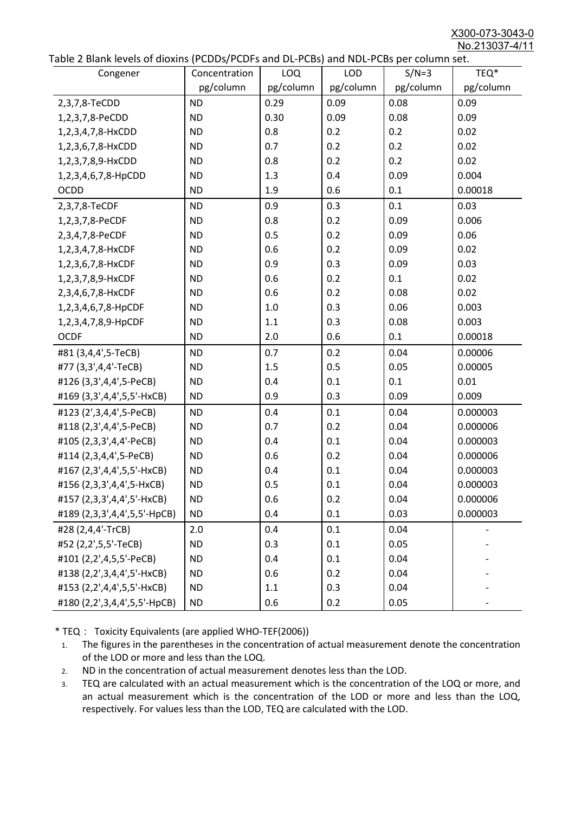X300-073-3043-0 No.213037-4/11

|  | Table 2 Blank levels of dioxins (PCDDs/PCDFs and DL-PCBs) and NDL-PCBs per column set. |
|--|----------------------------------------------------------------------------------------|
|--|----------------------------------------------------------------------------------------|

| able 2 Diarik levels of dioxins (I CDDs) I CDTs and DET CDs) and NDET CDs per column sett.<br>Congener | Concentration | LOQ       | <b>LOD</b> | $S/N=3$   | TEQ*      |
|--------------------------------------------------------------------------------------------------------|---------------|-----------|------------|-----------|-----------|
|                                                                                                        | pg/column     | pg/column | pg/column  | pg/column | pg/column |
| 2,3,7,8-TeCDD                                                                                          | <b>ND</b>     | 0.29      | 0.09       | 0.08      | 0.09      |
| 1,2,3,7,8-PeCDD                                                                                        | <b>ND</b>     | 0.30      | 0.09       | 0.08      | 0.09      |
| 1,2,3,4,7,8-HxCDD                                                                                      | <b>ND</b>     | 0.8       | 0.2        | 0.2       | 0.02      |
| 1,2,3,6,7,8-HxCDD                                                                                      | <b>ND</b>     | 0.7       | 0.2        | 0.2       | 0.02      |
| 1,2,3,7,8,9-HxCDD                                                                                      | <b>ND</b>     | 0.8       | 0.2        | 0.2       | 0.02      |
| 1,2,3,4,6,7,8-HpCDD                                                                                    | <b>ND</b>     | 1.3       | 0.4        | 0.09      | 0.004     |
| <b>OCDD</b>                                                                                            | <b>ND</b>     | 1.9       | 0.6        | 0.1       | 0.00018   |
| 2,3,7,8-TeCDF                                                                                          | <b>ND</b>     | 0.9       | 0.3        | 0.1       | 0.03      |
| 1,2,3,7,8-PeCDF                                                                                        | <b>ND</b>     | 0.8       | 0.2        | 0.09      | 0.006     |
| 2,3,4,7,8-PeCDF                                                                                        | <b>ND</b>     | 0.5       | 0.2        | 0.09      | 0.06      |
| 1,2,3,4,7,8-HxCDF                                                                                      | <b>ND</b>     | 0.6       | 0.2        | 0.09      | 0.02      |
| 1,2,3,6,7,8-HxCDF                                                                                      | <b>ND</b>     | 0.9       | 0.3        | 0.09      | 0.03      |
| 1,2,3,7,8,9-HxCDF                                                                                      | <b>ND</b>     | 0.6       | 0.2        | 0.1       | 0.02      |
| 2,3,4,6,7,8-HxCDF                                                                                      | <b>ND</b>     | 0.6       | 0.2        | 0.08      | 0.02      |
| 1,2,3,4,6,7,8-HpCDF                                                                                    | <b>ND</b>     | 1.0       | 0.3        | 0.06      | 0.003     |
| 1,2,3,4,7,8,9-HpCDF                                                                                    | <b>ND</b>     | 1.1       | 0.3        | 0.08      | 0.003     |
| <b>OCDF</b>                                                                                            | <b>ND</b>     | 2.0       | 0.6        | 0.1       | 0.00018   |
| #81 (3,4,4',5-TeCB)                                                                                    | <b>ND</b>     | 0.7       | 0.2        | 0.04      | 0.00006   |
| #77 (3,3',4,4'-TeCB)                                                                                   | <b>ND</b>     | 1.5       | 0.5        | 0.05      | 0.00005   |
| #126 (3,3',4,4',5-PeCB)                                                                                | <b>ND</b>     | 0.4       | 0.1        | 0.1       | 0.01      |
| #169 (3,3',4,4',5,5'-HxCB)                                                                             | <b>ND</b>     | 0.9       | 0.3        | 0.09      | 0.009     |
| #123 (2',3,4,4',5-PeCB)                                                                                | <b>ND</b>     | 0.4       | 0.1        | 0.04      | 0.000003  |
| #118 (2,3',4,4',5-PeCB)                                                                                | <b>ND</b>     | 0.7       | 0.2        | 0.04      | 0.000006  |
| #105 (2,3,3',4,4'-PeCB)                                                                                | <b>ND</b>     | 0.4       | 0.1        | 0.04      | 0.000003  |
| #114 (2,3,4,4',5-PeCB)                                                                                 | <b>ND</b>     | 0.6       | 0.2        | 0.04      | 0.000006  |
| #167 (2,3',4,4',5,5'-HxCB)                                                                             | <b>ND</b>     | 0.4       | 0.1        | 0.04      | 0.000003  |
| #156 (2,3,3',4,4',5-HxCB)                                                                              | <b>ND</b>     | 0.5       | 0.1        | 0.04      | 0.000003  |
| #157 (2,3,3',4,4',5'-HxCB)                                                                             | <b>ND</b>     | 0.6       | 0.2        | 0.04      | 0.000006  |
| #189 (2,3,3',4,4',5,5'-HpCB)                                                                           | <b>ND</b>     | 0.4       | 0.1        | 0.03      | 0.000003  |
| #28 (2,4,4'-TrCB)                                                                                      | 2.0           | 0.4       | 0.1        | 0.04      |           |
| #52 (2,2',5,5'-TeCB)                                                                                   | <b>ND</b>     | 0.3       | 0.1        | 0.05      |           |
| #101 (2,2',4,5,5'-PeCB)                                                                                | <b>ND</b>     | 0.4       | 0.1        | 0.04      |           |
| #138 (2,2',3,4,4',5'-HxCB)                                                                             | <b>ND</b>     | 0.6       | 0.2        | 0.04      |           |
| #153 (2,2',4,4',5,5'-HxCB)                                                                             | <b>ND</b>     | 1.1       | 0.3        | 0.04      |           |
| #180 (2,2',3,4,4',5,5'-HpCB)                                                                           | <b>ND</b>     | 0.6       | 0.2        | 0.05      |           |

\* TEQ: Toxicity Equivalents (are applied WHO-TEF(2006))

- 1. The figures in the parentheses in the concentration of actual measurement denote the concentration of the LOD or more and less than the LOQ.
- 2. ND in the concentration of actual measurement denotes less than the LOD.
- 3. TEQ are calculated with an actual measurement which is the concentration of the LOQ or more, and an actual measurement which is the concentration of the LOD or more and less than the LOQ, respectively. For values less than the LOD, TEQ are calculated with the LOD.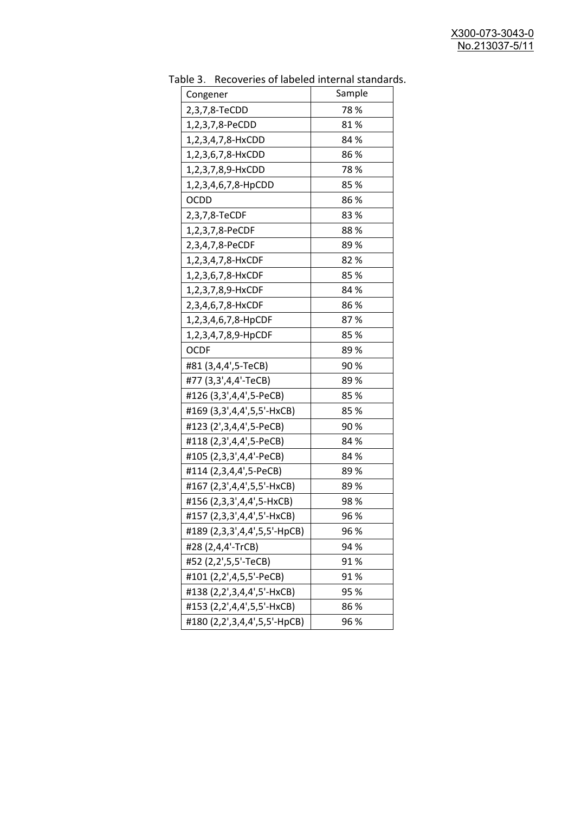| uwic J.<br><b>INCLUSION INTO THE MANUSCRY INTO THE STATISTICS</b><br>Congener | Sample |
|-------------------------------------------------------------------------------|--------|
| 2,3,7,8-TeCDD                                                                 | 78%    |
| 1,2,3,7,8-PeCDD                                                               | 81%    |
| 1,2,3,4,7,8-HxCDD                                                             | 84 %   |
| 1,2,3,6,7,8-HxCDD                                                             | 86%    |
| 1,2,3,7,8,9-HxCDD                                                             | 78%    |
| 1,2,3,4,6,7,8-HpCDD                                                           | 85%    |
| OCDD                                                                          | 86%    |
| 2,3,7,8-TeCDF                                                                 | 83%    |
| 1,2,3,7,8-PeCDF                                                               | 88%    |
| 2,3,4,7,8-PeCDF                                                               | 89 %   |
| 1,2,3,4,7,8-HxCDF                                                             | 82%    |
| 1,2,3,6,7,8-HxCDF                                                             | 85%    |
| 1,2,3,7,8,9-HxCDF                                                             | 84 %   |
| 2,3,4,6,7,8-HxCDF                                                             | 86%    |
| 1,2,3,4,6,7,8-HpCDF                                                           | 87%    |
| 1,2,3,4,7,8,9-HpCDF                                                           | 85%    |
| <b>OCDF</b>                                                                   | 89 %   |
| #81 (3,4,4',5-TeCB)                                                           | 90%    |
| #77 (3,3',4,4'-TeCB)                                                          | 89%    |
| #126 (3,3',4,4',5-PeCB)                                                       | 85 %   |
| #169 (3,3',4,4',5,5'-HxCB)                                                    | 85%    |
| #123 (2', 3, 4, 4', 5-PeCB)                                                   | 90%    |
| #118 (2,3',4,4',5-PeCB)                                                       | 84 %   |
| #105 (2,3,3',4,4'-PeCB)                                                       | 84 %   |
| #114 (2,3,4,4',5-PeCB)                                                        | 89 %   |
| #167 (2,3',4,4',5,5'-HxCB)                                                    | 89%    |
| #156 (2,3,3',4,4',5-HxCB)                                                     | 98%    |
| #157 (2,3,3',4,4',5'-HxCB)                                                    | 96 %   |
| #189 (2,3,3',4,4',5,5'-HpCB)                                                  | 96 %   |
| #28 (2,4,4'-TrCB)                                                             | 94 %   |
| #52 (2,2',5,5'-TeCB)                                                          | 91%    |
| #101 (2,2',4,5,5'-PeCB)                                                       | 91%    |
| #138 (2,2',3,4,4',5'-HxCB)                                                    | 95 %   |
| #153 (2,2',4,4',5,5'-HxCB)                                                    | 86 %   |
| #180 (2,2',3,4,4',5,5'-HpCB)                                                  | 96 %   |

Table 3. Recoveries of labeled internal standards.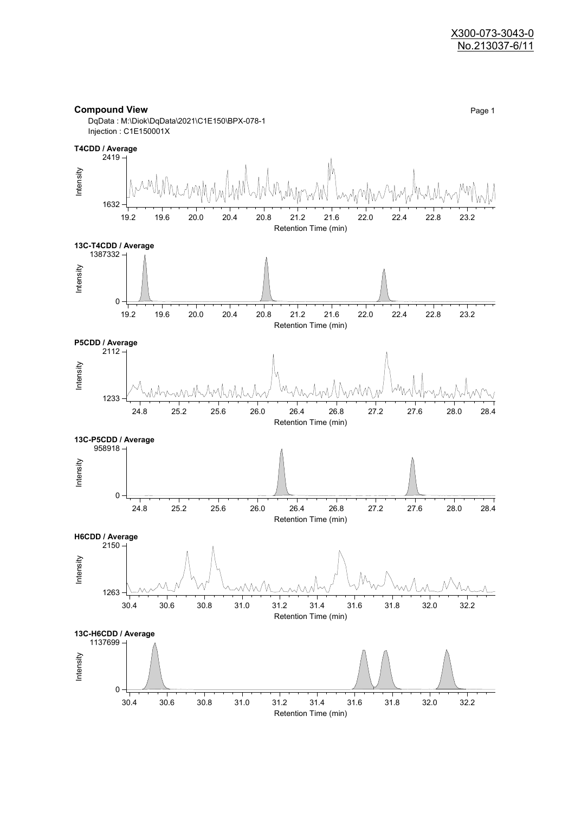#### **Compound View** Page 1

DqData : M:\Diok\DqData\2021\C1E150\BPX-078-1 Injection : C1E150001X

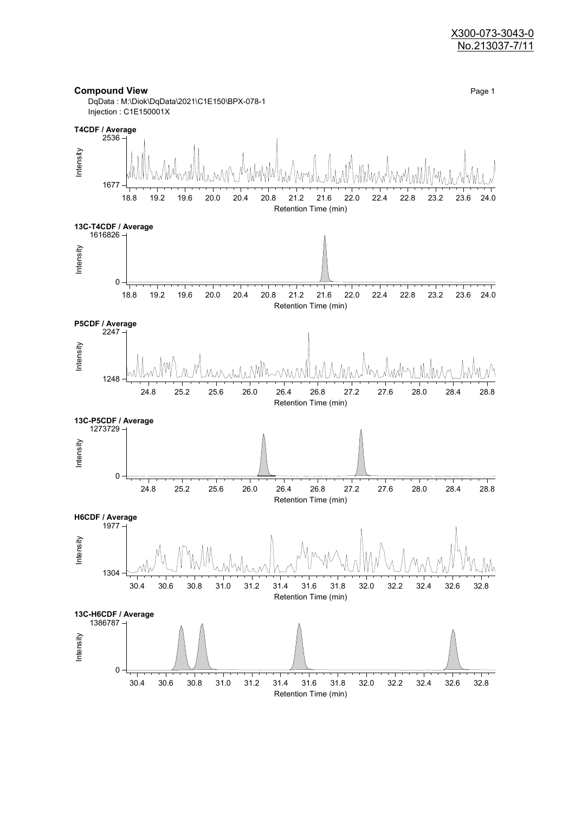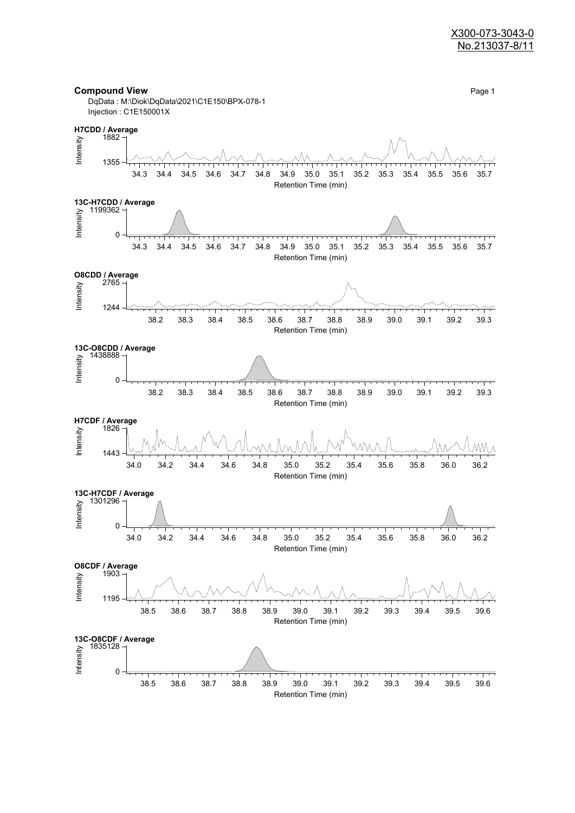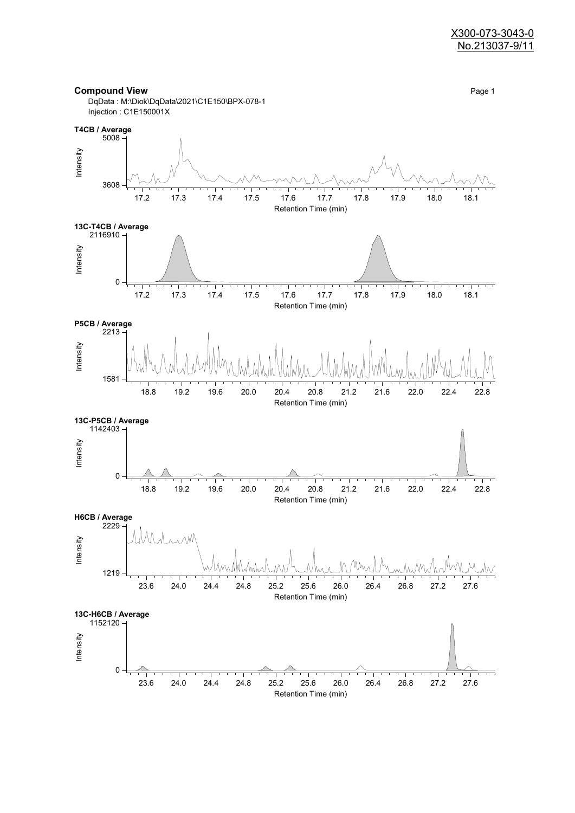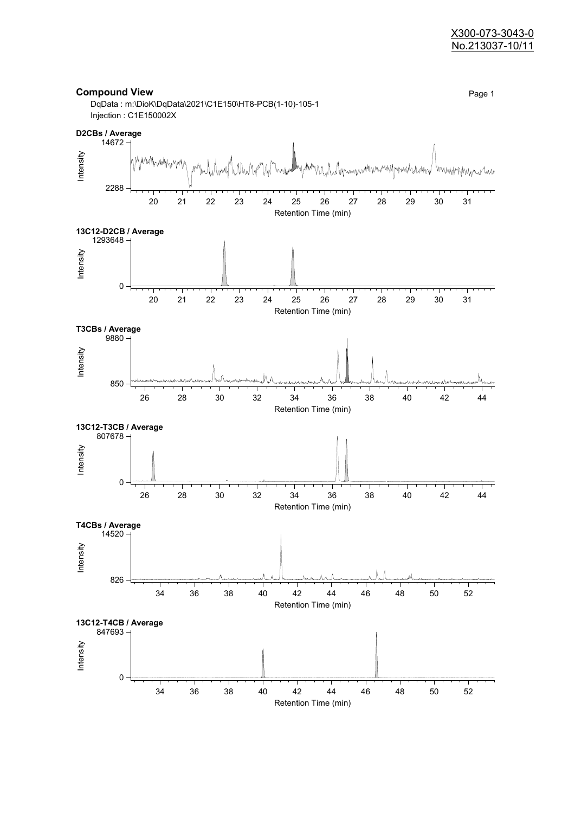